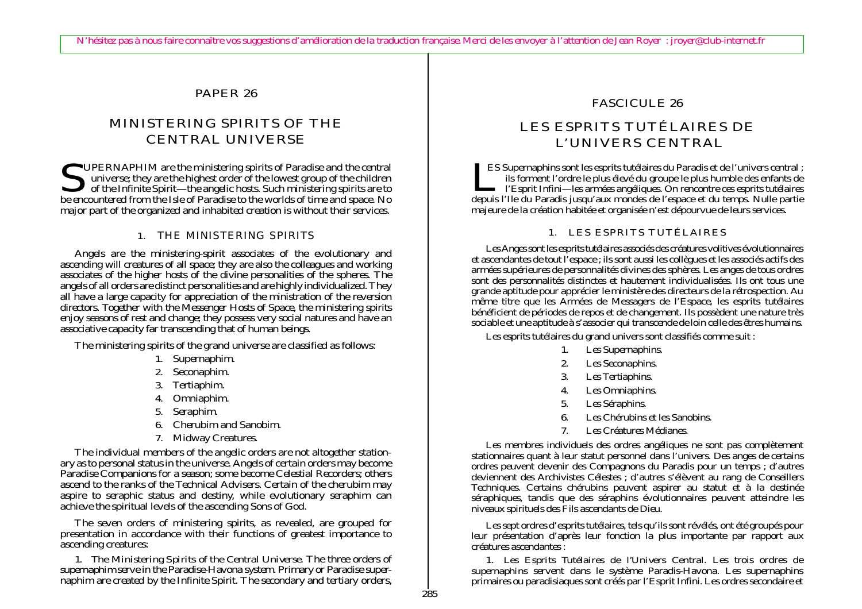N'hésitez pas à nous faire connaître vos suggestions d'amélioration de la traduction française. Merci de les envoyer à l'attention de Jean Royer : jroyer@club-internet.fr

# PAPER 26

# MINISTERING SPIRITS OF THE CENTRAL UNIVERSE

UPERNAPHIM are the ministering spirits of Paradise and the central universe; they are the highest order of the lowest group of the children **OFFENAPHIM** are the ministering spirits of Paradise and the central universe; they are the highest order of the lowest group of the children of the Infinite Spirit—the angelic hosts. Such ministering spirits are to be encountered from the Isle of Paradise to the worlds of time and space. No major part of the organized and inhabited creation is without their services.

## 1. THE MINISTERING SPIRITS

Angels are the ministering-spirit associates of the evolutionary and ascending will creatures of all space; they are also the colleagues and working associates of the higher hosts of the divine personalities of the spheres. The angels of all orders are distinct personalities and are highly individualized. They all have a large capacity for appreciation of the ministration of the reversion directors. Together with the Messenger Hosts of Space, the ministering spirits enjoy seasons of rest and change; they possess very social natures and have an associative capacity far transcending that of human beings.

The ministering spirits of the grand universe are classified as follows:

- 1. Supernaphim.
- 2. Seconaphim.
- 3. Tertiaphim.
- 4. Omniaphim.
- 5. Seraphim.
- 6. Cherubim and Sanobim.
- 7. Midway Creatures.

The individual members of the angelic orders are not altogether stationary as to personal status in the universe. Angels of certain orders may become Paradise Companions for a season; some become Celestial Recorders; others ascend to the ranks of the Technical Advisers. Certain of the cherubim may aspire to seraphic status and destiny, while evolutionary seraphim can achieve the spiritual levels of the ascending Sons of God.

The seven orders of ministering spirits, as revealed, are grouped for presentation in accordance with their functions of greatest importance to ascending creatures:

1. *The Ministering Spirits of the Central Universe.* The three orders of *supernaphim* serve in the Paradise-Havona system. Primary or Paradise supernaphim are created by the Infinite Spirit. The secondary and tertiary orders,

# FASCICULE 26

# LES ESPRITS TUTÉLAIRES DE L'UNIVERS CENTRAL

ES Supernaphins sont les esprits tutélaires du Paradis et de l'univers central ;<br>
ils forment l'ordre le plus élevé du groupe le plus humble des enfants de<br>
l'Esprit Infini—les armées angéliques. On rencontre ces esprits t ils forment l'ordre le plus élevé du groupe le plus humble des enfants de l'Esprit Infini—les armées angéliques. On rencontre ces esprits tutélaires depuis l'Ile du Paradis jusqu'aux mondes de l'espace et du temps. Nulle partie majeure de la création habitée et organisée n'est dépourvue de leurs services.

## 1. LES ESPRITS TUTÉLAIRES

Les Anges sont les esprits tutélaires associés des créatures volitives évolutionnaires et ascendantes de tout l'espace ; ils sont aussi les collègues et les associés actifs des armées supérieures de personnalités divines des sphères. Les anges de tous ordres sont des personnalités distinctes et hautement individualisées. Ils ont tous une grande aptitude pour apprécier le ministère des directeurs de la rétrospection. Au même titre que les Armées de Messagers de l'Espace, les esprits tutélaires bénéficient de périodes de repos et de changement. Ils possèdent une nature très sociable et une aptitude à s'associer qui transcende de loin celle des êtres humains.

Les esprits tutélaires du grand univers sont classifiés comme suit :

- 1. Les Supernaphins.
- 2. Les Seconaphins.
- 3. Les Tertiaphins.
- 4. Les Omniaphins.
- 5. Les Séraphins.
- 6. Les Chérubins et les Sanobins.
- 7. Les Créatures Médianes.

Les membres individuels des ordres angéliques ne sont pas complètement stationnaires quant à leur statut personnel dans l'univers. Des anges de certains ordres peuvent devenir des Compagnons du Paradis pour un temps ; d'autres deviennent des Archivistes Célestes ; d'autres s'élèvent au rang de Conseillers Techniques. Certains chérubins peuvent aspirer au statut et à la destinée séraphiques, tandis que des séraphins évolutionnaires peuvent atteindre les niveaux spirituels des Fils ascendants de Dieu.

Les sept ordres d'esprits tutélaires, tels qu'ils sont révélés, ont été groupés pour leur présentation d'après leur fonction la plus importante par rapport aux créatures ascendantes :

1. *Les Esprits Tutélaires de l'Univers Central*. Les trois ordres de *supernaphins* servent dans le système Paradis-Havona. Les supernaphins primaires ou paradisiaques sont créés par l'Esprit Infini. Les ordres secondaire et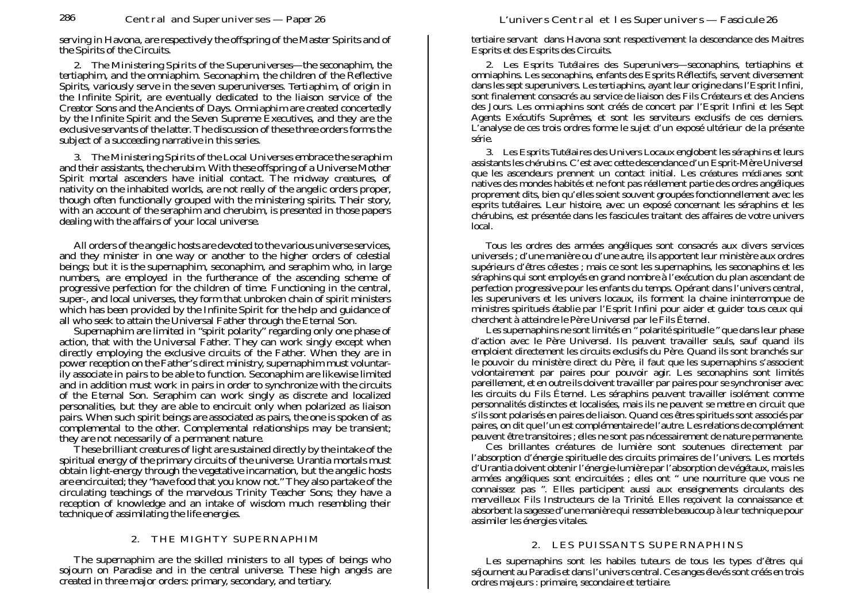serving in Havona, are respectively the offspring of the Master Spirits and of the Spirits of the Circuits.

2. *The Ministering Spirits of the Superuniverses*—the seconaphim, the tertiaphim, and the omniaphim. *Seconaphim,* the children of the Reflective Spirits, variously serve in the seven superuniverses. *Tertiaphim,* of origin in the Infinite Spirit, are eventually dedicated to the liaison service of the Creator Sons and the Ancients of Days. *Omniaphim* are created concertedly by the Infinite Spirit and the Seven Supreme Executives, and they are the exclusive servants of the latter. The discussion of these three orders forms the subject of a succeeding narrative in this series.

3. *The Ministering Spirits of the Local Universes* embrace the *seraphim* and their assistants, the *cherubim.* With these offspring of a Universe Mother Spirit mortal ascenders have initial contact. The *midway creatures,* of nativity on the inhabited worlds, are not really of the angelic orders proper, though often functionally grouped with the ministering spirits. Their story, with an account of the seraphim and cherubim, is presented in those papers dealing with the affairs of your local universe.

All orders of the angelic hosts are devoted to the various universe services, and they minister in one way or another to the higher orders of celestial beings; but it is the supernaphim, seconaphim, and seraphim who, in large numbers, are employed in the furtherance of the ascending scheme of progressive perfection for the children of time. Functioning in the central, super-, and local universes, they form that unbroken chain of spirit ministers which has been provided by the Infinite Spirit for the help and guidance of all who seek to attain the Universal Father through the Eternal Son.

Supernaphim are limited in "spirit polarity" regarding only one phase of action, that with the Universal Father. They can work singly except when directly employing the exclusive circuits of the Father. When they are in power reception on the Father's direct ministry, supernaphim must voluntarily associate in pairs to be able to function. Seconaphim are likewise limited and in addition must work in pairs in order to synchronize with the circuits of the Eternal Son. Seraphim can work singly as discrete and localized personalities, but they are able to encircuit only when polarized as liaison pairs. When such spirit beings are associated as pairs, the one is spoken of as complemental to the other. Complemental relationships may be transient; they are not necessarily of a permanent nature.

These brilliant creatures of light are sustained directly by the intake of the spiritual energy of the primary circuits of the universe. Urantia mortals must obtain light-energy through the vegetative incarnation, but the angelic hosts are encircuited; they "have food that you know not." They also partake of the circulating teachings of the marvelous Trinity Teacher Sons; they have a reception of knowledge and an intake of wisdom much resembling their technique of assimilating the life energies.

## 2. THE MIGHTY SUPERNAPHIM

The supernaphim are the skilled ministers to all types of beings who sojourn on Paradise and in the central universe. These high angels are created in three major orders: primary, secondary, and tertiary.

tertiaire servant dans Havona sont respectivement la descendance des Maitres Esprits et des Esprits des Circuits.

2. *Les Esprits Tutélaires des Superunivers*—seconaphins, tertiaphins et omniaphins. *Les seconaphins*, enfants des Esprits Réflectifs, servent diversement dans les sept superunivers. *Les tertiaphins,* ayant leur origine dans l'Esprit Infini, sont finalement consacrés au service de liaison des Fils Créateurs et des Anciens des Jours. *Les omniaphins* sont créés de concert par l'Esprit Infini et les Sept Agents Exécutifs Suprêmes, et sont les serviteurs exclusifs de ces derniers. L'analyse de ces trois ordres forme le sujet d'un exposé ultérieur de la présente série.

3. *Les Esprits Tutélaires des Univers Locaux* englobent les *séraphins* et leurs assistants les *chérubins*. C'est avec cette descendance d'un Esprit-Mère Universel que les ascendeurs prennent un contact initial. Les *créatures médianes* sont natives des mondes habités et ne font pas réellement partie des ordres angéliques proprement dits, bien qu'elles soient souvent groupées fonctionnellement avec les esprits tutélaires. Leur histoire, avec un exposé concernant les séraphins et les chérubins, est présentée dans les fascicules traitant des affaires de votre univers local.

Tous les ordres des armées angéliques sont consacrés aux divers services universels ; d'une manière ou d'une autre, ils apportent leur ministère aux ordres supérieurs d'êtres célestes ; mais ce sont les supernaphins, les seconaphins et les séraphins qui sont employés en grand nombre à l'exécution du plan ascendant de perfection progressive pour les enfants du temps. Opérant dans l'univers central, les superunivers et les univers locaux, ils forment la chaine ininterrompue de ministres spirituels établie par l'Esprit Infini pour aider et guider tous ceux qui cherchent à atteindre le Père Universel par le Fils Éternel.

Les supernaphins ne sont limités en " polarité spirituelle " que dans leur phase d'action avec le Père Universel. Ils peuvent travailler seuls, sauf quand ils emploient directement les circuits exclusifs du Père. Quand ils sont branchés sur le pouvoir du ministère direct du Père, il faut que les supernaphins s'associent volontairement par paires pour pouvoir agir. Les seconaphins sont limités pareillement, et en outre ils doivent travailler par paires pour se synchroniser avec les circuits du Fils Éternel. Les séraphins peuvent travailler isolément comme personnalités distinctes et localisées, mais ils ne peuvent se mettre en circuit que s'ils sont polarisés en paires de liaison. Quand ces êtres spirituels sont associés par paires, on dit que l'un est complémentaire de l'autre. Les relations de complément peuvent être transitoires ; elles ne sont pas nécessairement de nature permanente.

Ces brillantes créatures de lumière sont soutenues directement par l'absorption d'énergie spirituelle des circuits primaires de l'univers. Les mortels d'Urantia doivent obtenir l'énergie-lumière par l'absorption de végétaux, mais les armées angéliques sont encircuitées ; elles ont " une nourriture que vous ne connaissez pas ". Elles participent aussi aux enseignements circulants des merveilleux Fils Instructeurs de la Trinité. Elles reçoivent la connaissance et absorbent la sagesse d'une manière qui ressemble beaucoup à leur technique pour assimiler les énergies vitales.

## 2. LES PUISSANTS SUPERNAPHINS

Les supernaphins sont les habiles tuteurs de tous les types d'êtres qui séjournent au Paradis et dans l'univers central. Ces anges élevés sont créés en trois ordres majeurs : primaire, secondaire et tertiaire.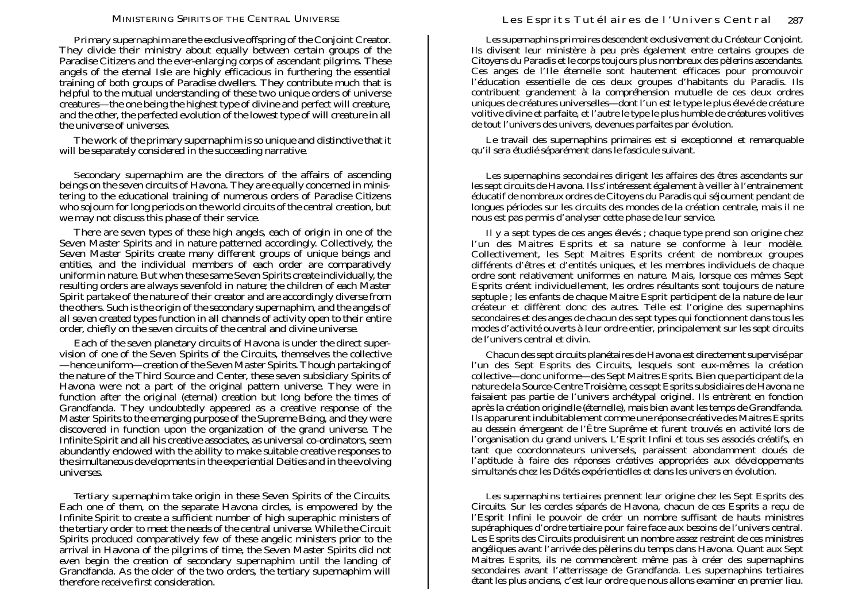*Primary supernaphim* are the exclusive offspring of the Conjoint Creator. They divide their ministry about equally between certain groups of the Paradise Citizens and the ever-enlarging corps of ascendant pilgrims. These angels of the eternal Isle are highly efficacious in furthering the essential training of both groups of Paradise dwellers. They contribute much that is helpful to the mutual understanding of these two unique orders of universe creatures—the one being the highest type of divine and perfect will creature, and the other, the perfected evolution of the lowest type of will creature in all the universe of universes.

The work of the primary supernaphim is so unique and distinctive that it will be separately considered in the succeeding narrative.

*Secondary supernaphim* are the directors of the affairs of ascending beings on the seven circuits of Havona. They are equally concerned in ministering to the educational training of numerous orders of Paradise Citizens who sojourn for long periods on the world circuits of the central creation, but we may not discuss this phase of their service.

There are seven types of these high angels, each of origin in one of the Seven Master Spirits and in nature patterned accordingly. Collectively, the Seven Master Spirits create many different groups of unique beings and entities, and the individual members of each order are comparatively uniform in nature. But when these same Seven Spirits create individually, the resulting orders are always sevenfold in nature; the children of each Master Spirit partake of the nature of their creator and are accordingly diverse from the others. Such is the origin of the secondary supernaphim, and the angels of all seven created types function in all channels of activity open to their entire order, chiefly on the seven circuits of the central and divine universe.

Each of the seven planetary circuits of Havona is under the direct supervision of one of the Seven Spirits of the Circuits, themselves the collective —hence uniform—creation of the Seven Master Spirits. Though partaking of the nature of the Third Source and Center, these seven subsidiary Spirits of Havona were not a part of the original pattern universe. They were in function after the original (eternal) creation but long before the times of Grandfanda. They undoubtedly appeared as a creative response of the Master Spirits to the emerging purpose of the Supreme Being, and they were discovered in function upon the organization of the grand universe. The Infinite Spirit and all his creative associates, as universal co-ordinators, seem abundantly endowed with the ability to make suitable creative responses to the simultaneous developments in the experiential Deities and in the evolving universes.

*Tertiary supernaphim* take origin in these Seven Spirits of the Circuits. Each one of them, on the separate Havona circles, is empowered by the Infinite Spirit to create a sufficient number of high superaphic ministers of the tertiary order to meet the needs of the central universe. While the Circuit Spirits produced comparatively few of these angelic ministers prior to the arrival in Havona of the pilgrims of time, the Seven Master Spirits did not even begin the creation of secondary supernaphim until the landing of Grandfanda. As the older of the two orders, the tertiary supernaphim will therefore receive first consideration.

# Les Esprits Tutélaires de l'Univers Central 287

*Les supernaphins primaires* descendent exclusivement du Créateur Conjoint. Ils divisent leur ministère à peu près également entre certains groupes de Citoyens du Paradis et le corps toujours plus nombreux des pèlerins ascendants. Ces anges de l'Ile éternelle sont hautement efficaces pour promouvoir l'éducation essentielle de ces deux groupes d'habitants du Paradis. Ils contribuent grandement à la compréhension mutuelle de ces deux ordres uniques de créatures universelles—dont l'un est le type le plus élevé de créature volitive divine et parfaite, et l'autre le type le plus humble de créatures volitives de tout l'univers des univers, devenues parfaites par évolution.

Le travail des supernaphins primaires est si exceptionnel et remarquable qu'il sera étudié séparément dans le fascicule suivant.

*Les supernaphins secondaires* dirigent les affaires des êtres ascendants sur les sept circuits de Havona. Ils s'intéressent également à veiller à l'entrainement éducatif de nombreux ordres de Citoyens du Paradis qui séjournent pendant de longues périodes sur les circuits des mondes de la création centrale, mais il ne nous est pas permis d'analyser cette phase de leur service.

Il y a sept types de ces anges élevés ; chaque type prend son origine chez l'un des Maitres Esprits et sa nature se conforme à leur modèle. Collectivement, les Sept Maitres Esprits créent de nombreux groupes différents d'êtres et d'entités uniques, et les membres individuels de chaque ordre sont relativement uniformes en nature. Mais, lorsque ces mêmes Sept Esprits créent individuellement, les ordres résultants sont toujours de nature septuple ; les enfants de chaque Maitre Esprit participent de la nature de leur créateur et diffèrent donc des autres. Telle est l'origine des supernaphins secondaires et des anges de chacun des sept types qui fonctionnent dans tous les modes d'activité ouverts à leur ordre entier, principalement sur les sept circuits de l'univers central et divin.

Chacun des sept circuits planétaires de Havona est directement supervisé par l'un des Sept Esprits des Circuits, lesquels sont eux-mêmes la création collective—donc uniforme—des Sept Maitres Esprits. Bien que participant de la nature de la Source-Centre Troisième, ces sept Esprits subsidiaires de Havona ne faisaient pas partie de l'univers archétypal originel. Ils entrèrent en fonction après la création originelle (éternelle), mais bien avant les temps de Grandfanda. Ils apparurent indubitablement comme une réponse créative des Maitres Esprits au dessein émergeant de l'Être Suprême et furent trouvés en activité lors de l'organisation du grand univers. L'Esprit Infini et tous ses associés créatifs, en tant que coordonnateurs universels, paraissent abondamment doués de l'aptitude à faire des réponses créatives appropriées aux développements simultanés chez les Déités expérientielles et dans les univers en évolution.

*Les supernaphins tertiaires* prennent leur origine chez les Sept Esprits des Circuits. Sur les cercles séparés de Havona, chacun de ces Esprits a reçu de l'Esprit Infini le pouvoir de créer un nombre suffisant de hauts ministres supéraphiques d'ordre tertiaire pour faire face aux besoins de l'univers central. Les Esprits des Circuits produisirent un nombre assez restreint de ces ministres angéliques avant l'arrivée des pèlerins du temps dans Havona. Quant aux Sept Maitres Esprits, ils ne commencèrent même pas à créer des supernaphins secondaires avant l'atterrissage de Grandfanda. Les supernaphins tertiaires étant les plus anciens, c'est leur ordre que nous allons examiner en premier lieu.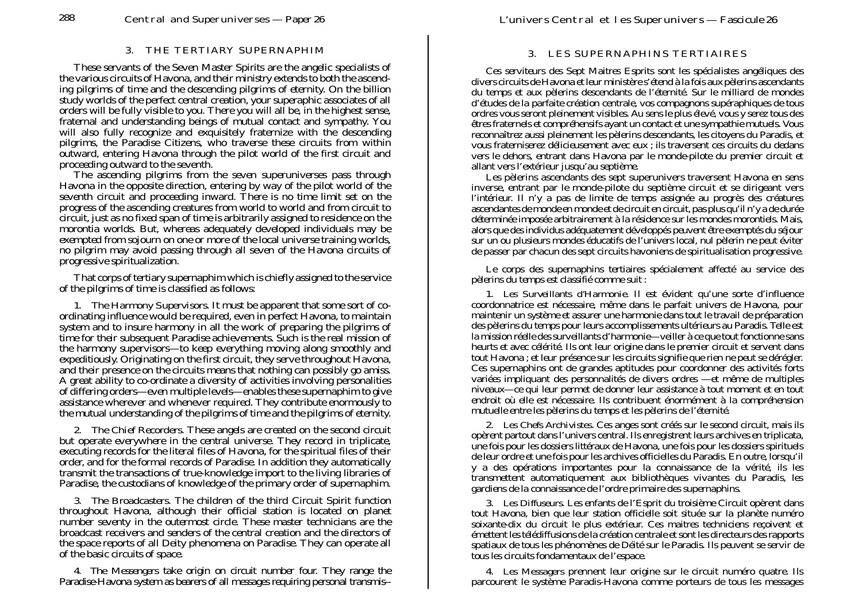#### 3. THE TERTIARY SUPERNAPHIM

These servants of the Seven Master Spirits are the angelic specialists of the various circuits of Havona, and their ministry extends to both the ascending pilgrims of time and the descending pilgrims of eternity. On the billion study worlds of the perfect central creation, your superaphic associates of all orders will be fully visible to you. There you will all be, in the highest sense, fraternal and understanding beings of mutual contact and sympathy. You will also fully recognize and exquisitely fraternize with the descending pilgrims, the Paradise Citizens, who traverse these circuits from within outward, entering Havona through the pilot world of the first circuit and proceeding outward to the seventh.

The ascending pilgrims from the seven superuniverses pass through Havona in the opposite direction, entering by way of the pilot world of the seventh circuit and proceeding inward. There is no time limit set on the progress of the ascending creatures from world to world and from circuit to circuit, just as no fixed span of time is arbitrarily assigned to residence on the morontia worlds. But, whereas adequately developed individuals may be exempted from sojourn on one or more of the local universe training worlds, no pilgrim may avoid passing through all seven of the Havona circuits of progressive spiritualization.

That corps of tertiary supernaphim which is chiefly assigned to the service of the pilgrims of time is classified as follows:

1. *The Harmony Supervisors.* It must be apparent that some sort of coordinating influence would be required, even in perfect Havona, to maintain system and to insure harmony in all the work of preparing the pilgrims of time for their subsequent Paradise achievements. Such is the real mission of the harmony supervisors—to keep everything moving along smoothly and expeditiously. Originating on the first circuit, they serve throughout Havona, and their presence on the circuits means that nothing can possibly go amiss. A great ability to co-ordinate a diversity of activities involving personalities of differing orders—even multiple levels—enables these supernaphim to give assistance wherever and whenever required. They contribute enormously to the mutual understanding of the pilgrims of time and the pilgrims of eternity.

2. *The Chief Recorders.* These angels are created on the second circuit but operate everywhere in the central universe. They record in triplicate, executing records for the literal files of Havona, for the spiritual files of their order, and for the formal records of Paradise. In addition they automatically transmit the transactions of true-knowledge import to the living libraries of Paradise, the custodians of knowledge of the primary order of supernaphim.

3. *The Broadcasters.* The children of the third Circuit Spirit function throughout Havona, although their official station is located on planet number seventy in the outermost circle. These master technicians are the broadcast receivers and senders of the central creation and the directors of the space reports of all Deity phenomena on Paradise. They can operate all of the basic circuits of space.

4. *The Messengers* take origin on circuit number four. They range the Paradise-Havona system as bearers of all messages requiring personal transmis--

# 3. LES SUPERNAPHINS TERTIAIRES

Ces serviteurs des Sept Maitres Esprits sont les spécialistes angéliques des divers circuits de Havona et leur ministère s'étend à la fois aux pèlerins ascendants du temps et aux pèlerins descendants de l'éternité. Sur le milliard de mondes d'études de la parfaite création centrale, vos compagnons supéraphiques de tous ordres vous seront pleinement visibles. Au sens le plus élevé, vous y serez tous des êtres fraternels et compréhensifs ayant un contact et une sympathie mutuels. Vous reconnaîtrez aussi pleinement les pèlerins descendants, les citoyens du Paradis, et vous fraterniserez délicieusement avec eux ; ils traversent ces circuits du dedans vers le dehors, entrant dans Havona par le monde-pilote du premier circuit et allant vers l'extérieur jusqu'au septième.

Les pèlerins ascendants des sept superunivers traversent Havona en sens inverse, entrant par le monde-pilote du septième circuit et se dirigeant vers l'intérieur. Il n'y a pas de limite de temps assignée au progrès des créatures ascendantes de monde en monde et de circuit en circuit, pas plus qu'il n'y a de durée déterminée imposée arbitrairement à la résidence sur les mondes morontiels. Mais, alors que des individus adéquatement développés peuvent être exemptés du séjour sur un ou plusieurs mondes éducatifs de l'univers local, nul pèlerin ne peut éviter de passer par chacun des sept circuits havoniens de spiritualisation progressive.

Le corps des supernaphins tertiaires spécialement affecté au service des pèlerins du temps est classifié comme suit :

1. *Les Surveillants d'Harmonie*. Il est évident qu'une sorte d'influence coordonnatrice est nécessaire, même dans le parfait univers de Havona, pour maintenir un système et assurer une harmonie dans tout le travail de préparation des pèlerins du temps pour leurs accomplissements ultérieurs au Paradis. Telle est la mission réelle des surveillants d'harmonie—veiller à ce que tout fonctionne sans heurts et avec célérité. Ils ont leur origine dans le premier circuit et servent dans tout Havona ; et leur présence sur les circuits signifie que rien ne peut se dérégler. Ces supernaphins ont de grandes aptitudes pour coordonner des activités forts variées impliquant des personnalités de divers ordres —et même de multiples niveaux—ce qui leur permet de donner leur assistance à tout moment et en tout endroit où elle est nécessaire. Ils contribuent énormément à la compréhension mutuelle entre les pèlerins du temps et les pèlerins de l'éternité.

2. *Les Chefs Archivistes.* Ces anges sont créés sur le second circuit, mais ils opèrent partout dans l'univers central. Ils enregistrent leurs archives en triplicata, une fois pour les dossiers littéraux de Havona, une fois pour les dossiers spirituels de leur ordre et une fois pour les archives officielles du Paradis. En outre, lorsqu'il y a des opérations importantes pour la connaissance de la vérité, ils les transmettent automatiquement aux bibliothèques vivantes du Paradis, les gardiens de la connaissance de l'ordre primaire des supernaphins.

3. *Les Diffuseurs.* Les enfants de l'Esprit du troisième Circuit opèrent dans tout Havona, bien que leur station officielle soit située sur la planète numéro soixante-dix du circuit le plus extérieur. Ces maitres techniciens reçoivent et émettent les télédiffusions de la création centrale et sont les directeurs des rapports spatiaux de tous les phénomènes de Déité sur le Paradis. Ils peuvent se servir de tous les circuits fondamentaux de l'espace.

4. *Les Messagers* prennent leur origine sur le circuit numéro quatre. Ils parcourent le système Paradis-Havona comme porteurs de tous les messages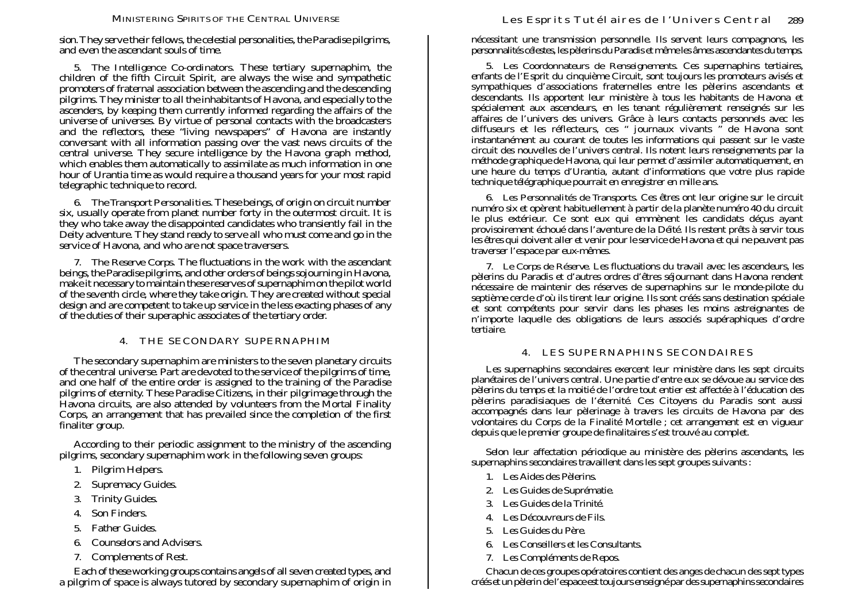sion. They serve their fellows, the celestial personalities, the Paradise pilgrims, and even the ascendant souls of time.

5. *The Intelligence Co-ordinators.* These tertiary supernaphim, the children of the fifth Circuit Spirit, are always the wise and sympathetic promoters of fraternal association between the ascending and the descending pilgrims. They minister to all the inhabitants of Havona, and especially to the ascenders, by keeping them currently informed regarding the affairs of the universe of universes. By virtue of personal contacts with the broadcasters and the reflectors, these "living newspapers" of Havona are instantly conversant with all information passing over the vast news circuits of the central universe. They secure intelligence by the Havona graph method, which enables them automatically to assimilate as much information in one hour of Urantia time as would require a thousand years for your most rapid telegraphic technique to record.

6. *The Transport Personalities.* These beings, of origin on circuit number six, usually operate from planet number forty in the outermost circuit. It is they who take away the disappointed candidates who transiently fail in the Deity adventure. They stand ready to serve all who must come and go in the service of Havona, and who are not space traversers.

7. *The Reserve Corps.* The fluctuations in the work with the ascendant beings, the Paradise pilgrims, and other orders of beings sojourning in Havona, make it necessary to maintain these reserves of supernaphim on the pilot world of the seventh circle, where they take origin. They are created without special design and are competent to take up service in the less exacting phases of any of the duties of their superaphic associates of the tertiary order.

## 4. THE SECONDARY SUPERNAPHIM

The secondary supernaphim are ministers to the seven planetary circuits of the central universe. Part are devoted to the service of the pilgrims of time, and one half of the entire order is assigned to the training of the Paradise pilgrims of eternity. These Paradise Citizens, in their pilgrimage through the Havona circuits, are also attended by volunteers from the Mortal Finality Corps, an arrangement that has prevailed since the completion of the first finaliter group.

According to their periodic assignment to the ministry of the ascending pilgrims, secondary supernaphim work in the following seven groups:

- 1. Pilgrim Helpers.
- 2. Supremacy Guides.
- 3. Trinity Guides.
- 4. Son Finders.
- 5. Father Guides.
- 6. Counselors and Advisers.
- 7. Complements of Rest.

Each of these working groups contains angels of all seven created types, and a pilgrim of space is always tutored by secondary supernaphim of origin in nécessitant une transmission personnelle. Ils servent leurs compagnons, les personnalités célestes, les pèlerins du Paradis et même les âmes ascendantes du temps.

5. *Les Coordonnateurs de Renseignements*. Ces supernaphins tertiaires, enfants de l'Esprit du cinquième Circuit, sont toujours les promoteurs avisés et sympathiques d'associations fraternelles entre les pèlerins ascendants et descendants. Ils apportent leur ministère à tous les habitants de Havona et spécialement aux ascendeurs, en les tenant régulièrement renseignés sur les affaires de l'univers des univers. Grâce à leurs contacts personnels avec les diffuseurs et les réflecteurs, ces " journaux vivants " de Havona sont instantanément au courant de toutes les informations qui passent sur le vaste circuit des nouvelles de l'univers central. Ils notent leurs renseignements par la méthode graphique de Havona, qui leur permet d'assimiler automatiquement, en une heure du temps d'Urantia, autant d'informations que votre plus rapide technique télégraphique pourrait en enregistrer en mille ans.

6. *Les Personnalités de Transports*. Ces êtres ont leur origine sur le circuit numéro six et opèrent habituellement à partir de la planète numéro 40 du circuit le plus extérieur. Ce sont eux qui emmènent les candidats déçus ayant provisoirement échoué dans l'aventure de la Déité. Ils restent prêts à servir tous les êtres qui doivent aller et venir pour le service de Havona et qui ne peuvent pas traverser l'espace par eux-mêmes.

7. *Le Corps de Réserve.* Les fluctuations du travail avec les ascendeurs, les pèlerins du Paradis et d'autres ordres d'êtres séjournant dans Havona rendent nécessaire de maintenir des réserves de supernaphins sur le monde-pilote du septième cercle d'où ils tirent leur origine. Ils sont créés sans destination spéciale et sont compétents pour servir dans les phases les moins astreignantes de n'importe laquelle des obligations de leurs associés supéraphiques d'ordre tertiaire.

# 4. LES SUPERNAPHINS SECONDAIRES

Les supernaphins secondaires exercent leur ministère dans les sept circuits planétaires de l'univers central. Une partie d'entre eux se dévoue au service des pèlerins du temps et la moitié de l'ordre tout entier est affectée à l'éducation des pèlerins paradisiaques de l'éternité. Ces Citoyens du Paradis sont aussi accompagnés dans leur pèlerinage à travers les circuits de Havona par des volontaires du Corps de la Finalité Mortelle ; cet arrangement est en vigueur depuis que le premier groupe de finalitaires s'est trouvé au complet.

Selon leur affectation périodique au ministère des pèlerins ascendants, les supernaphins secondaires travaillent dans les sept groupes suivants :

- 1. Les Aides des Pèlerins.
- 2. Les Guides de Suprématie.
- 3. Les Guides de la Trinité.
- 4. Les Découvreurs de Fils.
- 5. Les Guides du Père.
- 6. Les Conseillers et les Consultants.
- 7. Les Compléments de Repos.

Chacun de ces groupes opératoires contient des anges de chacun des sept types créés et un pèlerin de l'espace est toujours enseigné par des supernaphins secondaires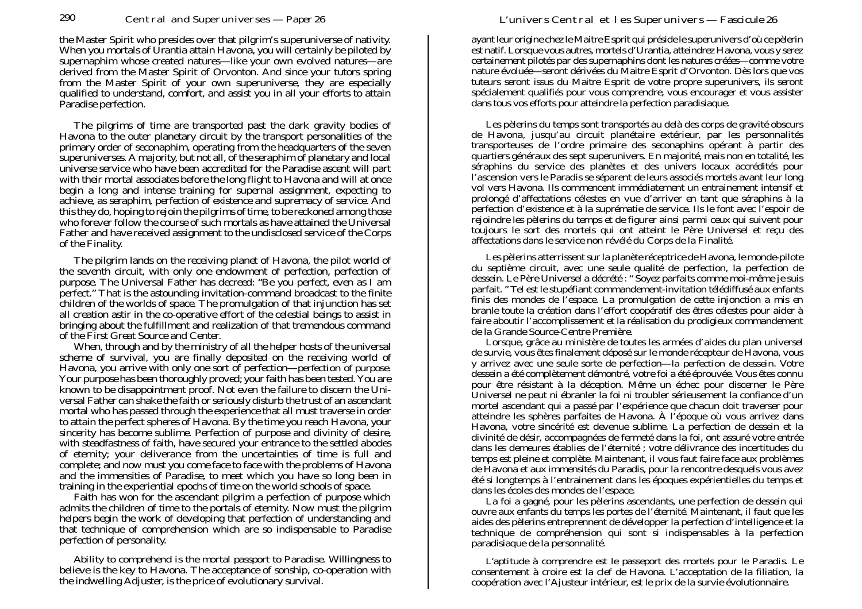the Master Spirit who presides over that pilgrim's superuniverse of nativity. When you mortals of Urantia attain Havona, you will certainly be piloted by supernaphim whose created natures—like your own evolved natures—are derived from the Master Spirit of Orvonton. And since your tutors spring from the Master Spirit of your own superuniverse, they are especially qualified to understand, comfort, and assist you in all your efforts to attain Paradise perfection.

The pilgrims of time are transported past the dark gravity bodies of Havona to the outer planetary circuit by the transport personalities of the primary order of seconaphim, operating from the headquarters of the seven superuniverses. A majority, but not all, of the seraphim of planetary and local universe service who have been accredited for the Paradise ascent will part with their mortal associates before the long flight to Havona and will at once begin a long and intense training for supernal assignment, expecting to achieve, as seraphim, perfection of existence and supremacy of service. And this they do, hoping to rejoin the pilgrims of time, to be reckoned among those who forever follow the course of such mortals as have attained the Universal Father and have received assignment to the undisclosed service of the Corps of the Finality.

The pilgrim lands on the receiving planet of Havona, the pilot world of the seventh circuit, with only one endowment of perfection, perfection of purpose. The Universal Father has decreed: "Be you perfect, even as I am perfect." That is the astounding invitation-command broadcast to the finite children of the worlds of space. The promulgation of that injunction has set all creation astir in the co-operative effort of the celestial beings to assist in bringing about the fulfillment and realization of that tremendous command of the First Great Source and Center.

When, through and by the ministry of all the helper hosts of the universal scheme of survival, you are finally deposited on the receiving world of Havona, you arrive with only one sort of perfection—*perfection of purpose.* Your purpose has been thoroughly proved; your faith has been tested. You are known to be disappointment proof. Not even the failure to discern the Universal Father can shake the faith or seriously disturb the trust of an ascendant mortal who has passed through the experience that all must traverse in order to attain the perfect spheres of Havona. By the time you reach Havona, your sincerity has become sublime. Perfection of purpose and divinity of desire, with steadfastness of faith, have secured your entrance to the settled abodes of eternity; your deliverance from the uncertainties of time is full and complete; and now must you come face to face with the problems of Havona and the immensities of Paradise, to meet which you have so long been in training in the experiential epochs of time on the world schools of space.

Faith has won for the ascendant pilgrim a perfection of purpose which admits the children of time to the portals of eternity. Now must the pilgrim helpers begin the work of developing that perfection of understanding and that technique of comprehension which are so indispensable to Paradise perfection of personality.

*Ability to comprehend is the mortal passport to Paradise.* Willingness to believe is the key to Havona. The acceptance of sonship, co-operation with the indwelling Adjuster, is the price of evolutionary survival.

## <sup>290</sup> Central and Superuniverses — *Paper <sup>26</sup>* L'univers Central et les Superunivers — *Fascicule <sup>26</sup>*

ayant leur origine chez le Maitre Esprit qui préside le superunivers d'où ce pèlerin est natif. Lorsque vous autres, mortels d'Urantia, atteindrez Havona, vous y serez certainement pilotés par des supernaphins dont les natures créées—comme votre nature évoluée—seront dérivées du Maitre Esprit d'Orvonton. Dès lors que vos tuteurs seront issus du Maitre Esprit de votre propre superunivers, ils seront spécialement qualifiés pour vous comprendre, vous encourager et vous assister dans tous vos efforts pour atteindre la perfection paradisiaque.

Les pèlerins du temps sont transportés au delà des corps de gravité obscurs de Havona, jusqu'au circuit planétaire extérieur, par les personnalités transporteuses de l'ordre primaire des seconaphins opérant à partir des quartiers généraux des sept superunivers. En majorité, mais non en totalité, les séraphins du service des planètes et des univers locaux accrédités pour l'ascension vers le Paradis se séparent de leurs associés mortels avant leur long vol vers Havona. Ils commencent immédiatement un entrainement intensif et prolongé d'affectations célestes en vue d'arriver en tant que séraphins à la perfection d'existence et à la suprématie de service. Ils le font avec l'espoir de rejoindre les pèlerins du temps et de figurer ainsi parmi ceux qui suivent pour toujours le sort des mortels qui ont atteint le Père Universel et reçu des affectations dans le service non révélé du Corps de la Finalité.

Les pèlerins atterrissent sur la planète réceptrice de Havona, le monde-pilote du septième circuit, avec une seule qualité de perfection, la perfection de dessein. Le Père Universel a décrété : " Soyez parfaits comme moi-même je suis parfait. " Tel est le stupéfiant commandement-invitation télédiffusé aux enfants finis des mondes de l'espace. La promulgation de cette injonction a mis en branle toute la création dans l'effort coopératif des êtres célestes pour aider à faire aboutir l'accomplissement et la réalisation du prodigieux commandement de la Grande Source-Centre Première.

Lorsque, grâce au ministère de toutes les armées d'aides du plan universel de survie, vous êtes finalement déposé sur le monde récepteur de Havona, vous y arrivez avec une seule sorte de perfection*—la perfection de dessein*. Votre dessein a été complètement démontré, votre foi a été éprouvée. Vous êtes connu pour être résistant à la déception. Même un échec pour discerner le Père Universel ne peut ni ébranler la foi ni troubler sérieusement la confiance d'un mortel ascendant qui a passé par l'expérience que chacun doit traverser pour atteindre les sphères parfaites de Havona. À l'époque où vous arrivez dans Havona, votre sincérité est devenue sublime. La perfection de dessein et la divinité de désir, accompagnées de fermeté dans la foi, ont assuré votre entrée dans les demeures établies de l'éternité ; votre délivrance des incertitudes du temps est pleine et complète. Maintenant, il vous faut faire face aux problèmes de Havona et aux immensités du Paradis, pour la rencontre desquels vous avez été si longtemps à l'entrainement dans les époques expérientielles du temps et dans les écoles des mondes de l'espace.

La foi a gagné, pour les pèlerins ascendants, une perfection de dessein qui ouvre aux enfants du temps les portes de l'éternité. Maintenant, il faut que les aides des pèlerins entreprennent de développer la perfection d'intelligence et la technique de compréhension qui sont si indispensables à la perfection paradisiaque de la personnalité.

*L'aptitude à comprendre est le passeport des mortels pour le Paradis*. Le consentement à croire est la clef de Havona. L'acceptation de la filiation, la coopération avec l'Ajusteur intérieur, est le prix de la survie évolutionnaire.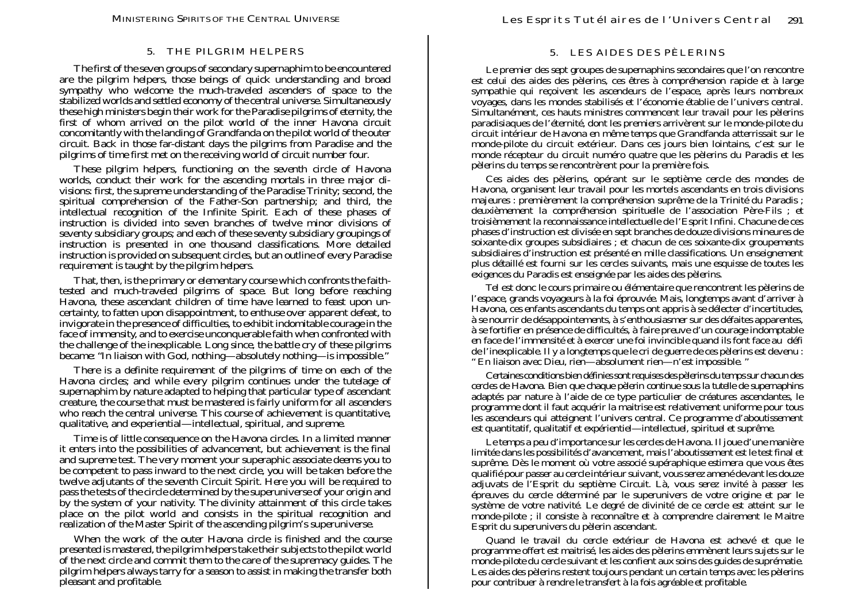## 5. THE PILGRIM HELPERS

The first of the seven groups of secondary supernaphim to be encountered are the pilgrim helpers, those beings of quick understanding and broad sympathy who welcome the much-traveled ascenders of space to the stabilized worlds and settled economy of the central universe. Simultaneously these high ministers begin their work for the Paradise pilgrims of eternity, the first of whom arrived on the pilot world of the inner Havona circuit concomitantly with the landing of Grandfanda on the pilot world of the outer circuit. Back in those far-distant days the pilgrims from Paradise and the pilgrims of time first met on the receiving world of circuit number four.

These pilgrim helpers, functioning on the seventh circle of Havona worlds, conduct their work for the ascending mortals in three major divisions: first, the supreme understanding of the Paradise Trinity; second, the spiritual comprehension of the Father-Son partnership; and third, the intellectual recognition of the Infinite Spirit. Each of these phases of instruction is divided into seven branches of twelve minor divisions of seventy subsidiary groups; and each of these seventy subsidiary groupings of instruction is presented in one thousand classifications. More detailed instruction is provided on subsequent circles, but an outline of every Paradise requirement is taught by the pilgrim helpers.

That, then, is the primary or elementary course which confronts the faithtested and much-traveled pilgrims of space. But long before reaching Havona, these ascendant children of time have learned to feast upon uncertainty, to fatten upon disappointment, to enthuse over apparent defeat, to invigorate in the presence of difficulties, to exhibit indomitable courage in the face of immensity, and to exercise unconquerable faith when confronted with the challenge of the inexplicable. Long since, the battle cry of these pilgrims became: "In liaison with God, nothing—absolutely nothing—is impossible."

There is a definite requirement of the pilgrims of time on each of the Havona circles; and while every pilgrim continues under the tutelage of supernaphim by nature adapted to helping that particular type of ascendant creature, the course that must be mastered is fairly uniform for all ascenders who reach the central universe. This course of achievement is quantitative, qualitative, and experiential—intellectual, spiritual, and supreme.

Time is of little consequence on the Havona circles. In a limited manner it enters into the possibilities of advancement, but achievement is the final and supreme test. The very moment your superaphic associate deems you to be competent to pass inward to the next circle, you will be taken before the twelve adjutants of the seventh Circuit Spirit. Here you will be required to pass the tests of the circle determined by the superuniverse of your origin and by the system of your nativity. The divinity attainment of this circle takes place on the pilot world and consists in the spiritual recognition and realization of the Master Spirit of the ascending pilgrim's superuniverse.

When the work of the outer Havona circle is finished and the course presented is mastered, the pilgrim helpers take their subjects to the pilot world of the next circle and commit them to the care of the supremacy guides. The pilgrim helpers always tarry for a season to assist in making the transfer both pleasant and profitable.

#### 5. LES AIDES DES PÈLERINS

Le premier des sept groupes de supernaphins secondaires que l'on rencontre est celui des aides des pèlerins, ces êtres à compréhension rapide et à large sympathie qui reçoivent les ascendeurs de l'espace, après leurs nombreux voyages, dans les mondes stabilisés et l'économie établie de l'univers central. Simultanément, ces hauts ministres commencent leur travail pour les pèlerins paradisiaques de l'éternité, dont les premiers arrivèrent sur le monde-pilote du circuit intérieur de Havona en même temps que Grandfanda atterrissait sur le monde-pilote du circuit extérieur. Dans ces jours bien lointains, c'est sur le monde récepteur du circuit numéro quatre que les pèlerins du Paradis et les pèlerins du temps se rencontrèrent pour la première fois.

Ces aides des pèlerins, opérant sur le septième cercle des mondes de Havona, organisent leur travail pour les mortels ascendants en trois divisions majeures : premièrement la compréhension suprême de la Trinité du Paradis ; deuxièmement la compréhension spirituelle de l'association Père-Fils ; et troisièmement la reconnaissance intellectuelle de l'Esprit Infini. Chacune de ces phases d'instruction est divisée en sept branches de douze divisions mineures de soixante-dix groupes subsidiaires ; et chacun de ces soixante-dix groupements subsidiaires d'instruction est présenté en mille classifications. Un enseignement plus détaillé est fourni sur les cercles suivants, mais une esquisse de toutes les exigences du Paradis est enseignée par les aides des pèlerins.

Tel est donc le cours primaire ou élémentaire que rencontrent les pèlerins de l'espace, grands voyageurs à la foi éprouvée. Mais, longtemps avant d'arriver à Havona, ces enfants ascendants du temps ont appris à se délecter d'incertitudes, à se nourrir de désappointements, à s'enthousiasmer sur des défaites apparentes, à se fortifier en présence de difficultés, à faire preuve d'un courage indomptable en face de l'immensité et à exercer une foi invincible quand ils font face au défi de l'inexplicable. Il y a longtemps que le cri de guerre de ces pèlerins est devenu : " En liaison avec Dieu, rien—absolument rien—n'est impossible. "

Certaines conditions bien définies sont requises des pèlerins du temps sur chacun des cercles de Havona. Bien que chaque pèlerin continue sous la tutelle de supernaphins adaptés par nature à l'aide de ce type particulier de créatures ascendantes, le programme dont il faut acquérir la maitrise est relativement uniforme pour tous les ascendeurs qui atteignent l'univers central. Ce programme d'aboutissement est quantitatif, qualitatif et expérientiel—intellectuel, spirituel et suprême.

Le temps a peu d'importance sur les cercles de Havona. Il joue d'une manière limitée dans les possibilités d'avancement, mais l'aboutissement est le test final et suprême. Dès le moment où votre associé supéraphique estimera que vous êtes qualifié pour passer au cercle intérieur suivant, vous serez amené devant les douze adjuvats de l'Esprit du septième Circuit. Là, vous serez invité à passer les épreuves du cercle déterminé par le superunivers de votre origine et par le système de votre nativité. Le degré de divinité de ce cercle est atteint sur le monde-pilote ; il consiste à reconnaître et à comprendre clairement le Maitre Esprit du superunivers du pèlerin ascendant.

Quand le travail du cercle extérieur de Havona est achevé et que le programme offert est maitrisé, les aides des pèlerins emmènent leurs sujets sur le monde-pilote du cercle suivant et les confient aux soins des guides de suprématie. Les aides des pèlerins restent toujours pendant un certain temps avec les pèlerins pour contribuer à rendre le transfert à la fois agréable et profitable.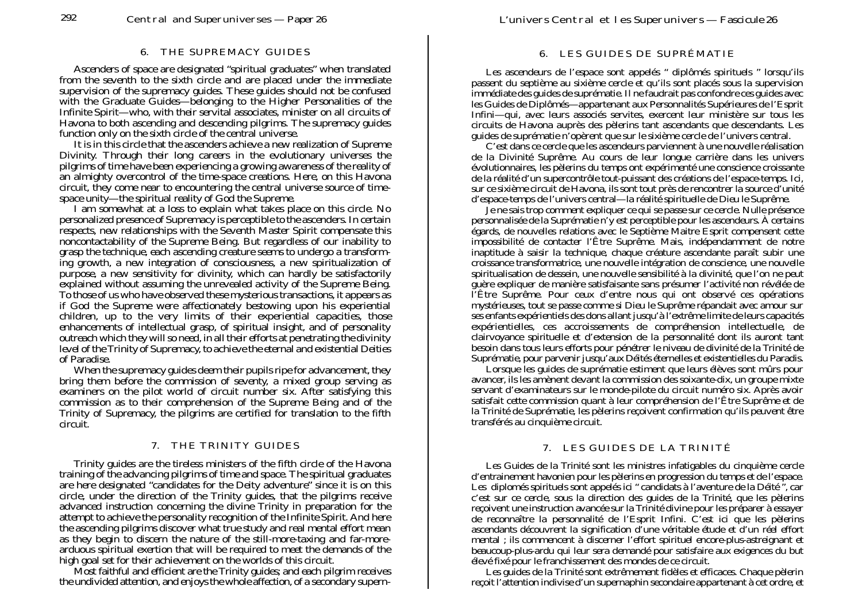## 6. THE SUPREMACY GUIDES

Ascenders of space are designated "spiritual graduates" when translated from the seventh to the sixth circle and are placed under the immediate supervision of the supremacy guides. These guides should not be confused with the Graduate Guides—belonging to the Higher Personalities of the Infinite Spirit—who, with their servital associates, minister on all circuits of Havona to both ascending and descending pilgrims. The supremacy guides function only on the sixth circle of the central universe.

It is in this circle that the ascenders achieve a new realization of Supreme Divinity. Through their long careers in the evolutionary universes the pilgrims of time have been experiencing a growing awareness of the reality of an almighty overcontrol of the time-space creations. Here, on this Havona circuit, they come near to encountering the central universe source of timespace unity—the spiritual reality of God the Supreme.

I am somewhat at a loss to explain what takes place on this circle. No personalized presence of Supremacy is perceptible to the ascenders. In certain respects, new relationships with the Seventh Master Spirit compensate this noncontactability of the Supreme Being. But regardless of our inability to grasp the technique, each ascending creature seems to undergo a transforming growth, a new integration of consciousness, a new spiritualization of purpose, a new sensitivity for divinity, which can hardly be satisfactorily explained without assuming the unrevealed activity of the Supreme Being. To those of us who have observed these mysterious transactions, it appears as if God the Supreme were affectionately bestowing upon his experiential children, up to the very limits of their experiential capacities, those enhancements of intellectual grasp, of spiritual insight, and of personality outreach which they will so need, in all their efforts at penetrating the divinity level of the Trinity of Supremacy, to achieve the eternal and existential Deities of Paradise.

When the supremacy guides deem their pupils ripe for advancement, they bring them before the commission of seventy, a mixed group serving as examiners on the pilot world of circuit number six. After satisfying this commission as to their comprehension of the Supreme Being and of the Trinity of Supremacy, the pilgrims are certified for translation to the fifth circuit.

## 7. THE TRINITY GUIDES

Trinity guides are the tireless ministers of the fifth circle of the Havona training of the advancing pilgrims of time and space. The spiritual graduates are here designated "candidates for the Deity adventure" since it is on this circle, under the direction of the Trinity guides, that the pilgrims receive advanced instruction concerning the divine Trinity in preparation for the attempt to achieve the personality recognition of the Infinite Spirit. And here the ascending pilgrims discover what true study and real mental effort mean as they begin to discern the nature of the still-more-taxing and far-morearduous spiritual exertion that will be required to meet the demands of the high goal set for their achievement on the worlds of this circuit.

Most faithful and efficient are the Trinity guides; and each pilgrim receives the undivided attention, and enjoys the whole affection, of a secondary supern-

## 6. LES GUIDES DE SUPRÉMATIE

Les ascendeurs de l'espace sont appelés " diplômés spirituels " lorsqu'ils passent du septième au sixième cercle et qu'ils sont placés sous la supervision immédiate des guides de suprématie. Il ne faudrait pas confondre ces guides avec les Guides de Diplômés—appartenant aux Personnalités Supérieures de l'Esprit Infini—qui, avec leurs associés servites, exercent leur ministère sur tous les circuits de Havona auprès des pèlerins tant ascendants que descendants. Les guides de suprématie n'opèrent que sur le sixième cercle de l'univers central.

C'est dans ce cercle que les ascendeurs parviennent à une nouvelle réalisation de la Divinité Suprême. Au cours de leur longue carrière dans les univers évolutionnaires, les pèlerins du temps ont expérimenté une conscience croissante de la réalité d'un supercontrôle tout-puissant des créations de l'espace-temps. Ici, sur ce sixième circuit de Havona, ils sont tout près de rencontrer la source d'unité d'espace-temps de l'univers central—la réalité spirituelle de Dieu le Suprême.

Je ne sais trop comment expliquer ce qui se passe sur ce cercle. Nulle présence personnalisée de la Suprématie n'y est perceptible pour les ascendeurs. À certains égards, de nouvelles relations avec le Septième Maitre Esprit compensent cette impossibilité de contacter l'Être Suprême. Mais, indépendamment de notre inaptitude à saisir la technique, chaque créature ascendante paraît subir une croissance transformatrice, une nouvelle intégration de conscience, une nouvelle spiritualisation de dessein, une nouvelle sensibilité à la divinité, que l'on ne peut l'Être Suprême. Pour ceux d'entre nous qui ont observé ces opérations mystérieuses, tout se passe comme si Dieu le Suprême répandait avec amour sur ses enfants expérientiels des dons allant jusqu'à l'extrême limite de leurs capacités expérientielles, ces accroissements de compréhension intellectuelle, de clairvoyance spirituelle et d'extension de la personnalité dont ils auront tant besoin dans tous leurs efforts pour pénétrer le niveau de divinité de la Trinité de Suprématie, pour parvenir jusqu'aux Déités éternelles et existentielles du Paradis.

Lorsque les guides de suprématie estiment que leurs élèves sont mûrs pour avancer, ils les amènent devant la commission des soixante-dix, un groupe mixte servant d'examinateurs sur le monde-pilote du circuit numéro six. Après avoir satisfait cette commission quant à leur compréhension de l'Être Suprême et de la Trinité de Suprématie, les pèlerins reçoivent confirmation qu'ils peuvent être transférés au cinquième circuit.

## 7. LES GUIDES DE LA TRINITÉ

Les Guides de la Trinité sont les ministres infatigables du cinquième cercle d'entrainement havonien pour les pèlerins en progression du temps et de l'espace. Les diplomés spirituels sont appelés ici " candidats à l'aventure de la Déité ", car c'est sur ce cercle, sous la direction des guides de la Trinité, que les pèlerins reçoivent une instruction avancée sur la Trinité divine pour les préparer à essayer de reconnaître la personnalité de l'Esprit Infini. C'est ici que les pèlerins ascendants découvrent la signification d'une véritable étude et d'un réel effort mental ; ils commencent à discerner l'effort spirituel encore-plus-astreignant et beaucoup-plus-ardu qui leur sera demandé pour satisfaire aux exigences du but élevé fixé pour le franchissement des mondes de ce circuit.

Les guides de la Trinité sont extrêmement fidèles et efficaces. Chaque pèlerin reçoit l'attention indivise d'un supernaphin secondaire appartenant à cet ordre, et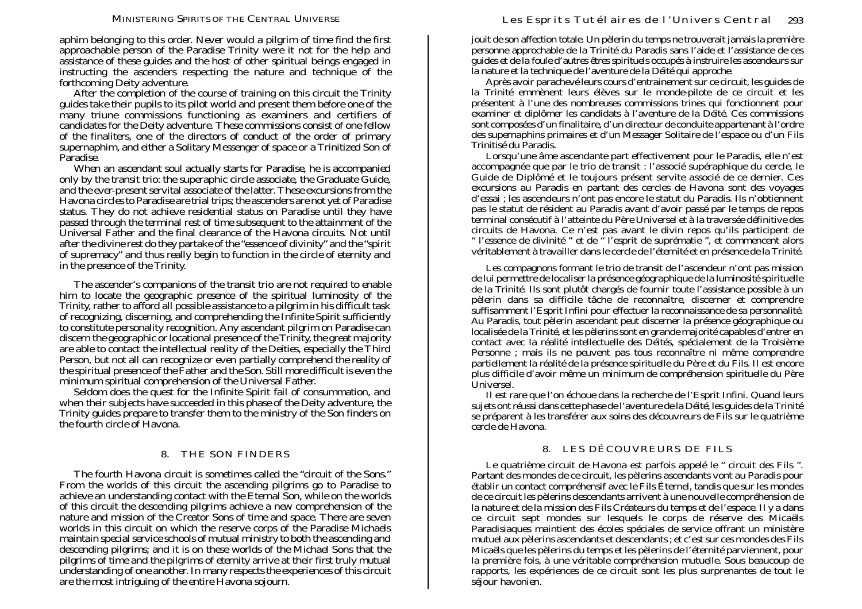aphim belonging to this order. Never would a pilgrim of time find the first approachable person of the Paradise Trinity were it not for the help and assistance of these guides and the host of other spiritual beings engaged in instructing the ascenders respecting the nature and technique of the forthcoming Deity adventure.

After the completion of the course of training on this circuit the Trinity guides take their pupils to its pilot world and present them before one of the many triune commissions functioning as examiners and certifiers of candidates for the Deity adventure. These commissions consist of one fellow of the finaliters, one of the directors of conduct of the order of primary supernaphim, and either a Solitary Messenger of space or a Trinitized Son of Paradise.

When an ascendant soul actually starts for Paradise, he is accompanied only by the transit trio: the superaphic circle associate, the Graduate Guide, and the ever-present servital associate of the latter. These excursions from the Havona circles to Paradise are trial trips; the ascenders are not yet of Paradise status. They do not achieve residential status on Paradise until they have passed through the terminal rest of time subsequent to the attainment of the Universal Father and the final clearance of the Havona circuits. Not until after the divine rest do they partake of the "essence of divinity" and the "spirit of supremacy" and thus really begin to function in the circle of eternity and in the presence of the Trinity.

The ascender's companions of the transit trio are not required to enable him to locate the geographic presence of the spiritual luminosity of the Trinity, rather to afford all possible assistance to a pilgrim in his difficult task of recognizing, discerning, and comprehending the Infinite Spirit sufficiently to constitute personality recognition. Any ascendant pilgrim on Paradise can discern the geographic or locational presence of the Trinity, the great majority are able to contact the intellectual reality of the Deities, especially the Third Person, but not all can recognize or even partially comprehend the reality of the spiritual presence of the Father and the Son. Still more difficult is even the minimum spiritual comprehension of the Universal Father.

Seldom does the quest for the Infinite Spirit fail of consummation, and when their subjects have succeeded in this phase of the Deity adventure, the Trinity guides prepare to transfer them to the ministry of the Son finders on the fourth circle of Havona.

## 8. THE SON FINDERS

The fourth Havona circuit is sometimes called the "circuit of the Sons." From the worlds of this circuit the ascending pilgrims go to Paradise to achieve an understanding contact with the Eternal Son, while on the worlds of this circuit the descending pilgrims achieve a new comprehension of the nature and mission of the Creator Sons of time and space. There are seven worlds in this circuit on which the reserve corps of the Paradise Michaels maintain special service schools of mutual ministry to both the ascending and descending pilgrims; and it is on these worlds of the Michael Sons that the pilgrims of time and the pilgrims of eternity arrive at their first truly mutual understanding of one another. In many respects the experiences of this circuit are the most intriguing of the entire Havona sojourn.

jouit de son affection totale. Un pèlerin du temps ne trouverait jamais la première personne approchable de la Trinité du Paradis sans l'aide et l'assistance de ces guides et de la foule d'autres êtres spirituels occupés à instruire les ascendeurs sur la nature et la technique de l'aventure de la Déité qui approche.

Après avoir parachevé leurs cours d'entrainement sur ce circuit, les guides de la Trinité emmènent leurs élèves sur le monde-pilote de ce circuit et les présentent à l'une des nombreuses commissions trines qui fonctionnent pour examiner et diplômer les candidats à l'aventure de la Déité. Ces commissions sont composées d'un finalitaire, d'un directeur de conduite appartenant à l'ordre des supernaphins primaires et d'un Messager Solitaire de l'espace ou d'un Fils Trinitisé du Paradis.

Lorsqu'une âme ascendante part effectivement pour le Paradis, elle n'est accompagnée que par le trio de transit : l'associé supéraphique du cercle, le Guide de Diplômé et le toujours présent servite associé de ce dernier. Ces excursions au Paradis en partant des cercles de Havona sont des voyages d'essai ; les ascendeurs n'ont pas encore le statut du Paradis. Ils n'obtiennent pas le statut de résident au Paradis avant d'avoir passé par le temps de repos terminal consécutif à l'atteinte du Père Universel et à la traversée définitive des circuits de Havona. Ce n'est pas avant le divin repos qu'ils participent de " l'essence de divinité " et de " l'esprit de suprématie ", et commencent alors véritablement à travailler dans le cercle de l'éternité et en présence de la Trinité.

Les compagnons formant le trio de transit de l'ascendeur n'ont pas mission de lui permettre de localiser la présence géographique de la luminosité spirituelle de la Trinité. Ils sont plutôt chargés de fournir toute l'assistance possible à un pèlerin dans sa difficile tâche de reconnaître, discerner et comprendre suffisamment l'Esprit Infini pour effectuer la reconnaissance de sa personnalité. Au Paradis, tout pèlerin ascendant peut discerner la présence géographique ou localisée de la Trinité, et les pèlerins sont en grande majorité capables d'entrer en contact avec la réalité intellectuelle des Déités, spécialement de la Troisième Personne ; mais ils ne peuvent pas tous reconnaître ni même comprendre partiellement la réalité de la présence spirituelle du Père et du Fils. Il est encore plus difficile d'avoir même un minimum de compréhension spirituelle du Père Universel.

Il est rare que l'on échoue dans la recherche de l'Esprit Infini. Quand leurs sujets ont réussi dans cette phase de l'aventure de la Déité, les guides de la Trinité se préparent à les transférer aux soins des découvreurs de Fils sur le quatrième cercle de Havona.

## 8. LES DÉCOUVREURS DE FILS

Le quatrième circuit de Havona est parfois appelé le " circuit des Fils ". Partant des mondes de ce circuit, les pèlerins ascendants vont au Paradis pour établir un contact compréhensif avec le Fils Éternel, tandis que sur les mondes de ce circuit les pèlerins descendants arrivent à une nouvelle compréhension de la nature et de la mission des Fils Créateurs du temps et de l'espace. Il y a dans ce circuit sept mondes sur lesquels le corps de réserve des Micaëls Paradisiaques maintient des écoles spéciales de service offrant un ministère mutuel aux pèlerins ascendants et descendants ; et c'est sur ces mondes des Fils Micaëls que les pèlerins du temps et les pèlerins de l'éternité parviennent, pour la première fois, à une véritable compréhension mutuelle. Sous beaucoup de rapports, les expériences de ce circuit sont les plus surprenantes de tout le séjour havonien.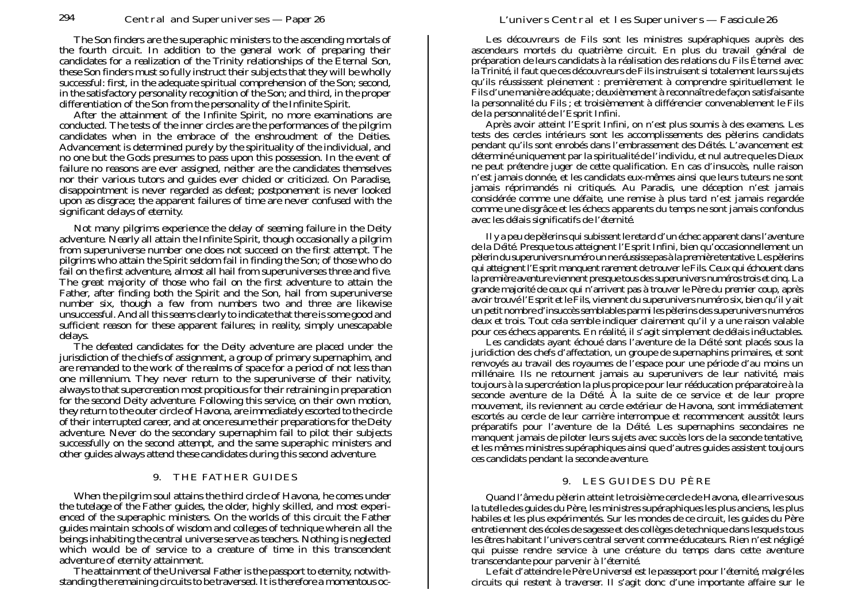The Son finders are the superaphic ministers to the ascending mortals of the fourth circuit. In addition to the general work of preparing their candidates for a realization of the Trinity relationships of the Eternal Son, these Son finders must so fully instruct their subjects that they will be wholly successful: first, in the adequate spiritual comprehension of the Son; second, in the satisfactory personality recognition of the Son; and third, in the proper differentiation of the Son from the personality of the Infinite Spirit.

After the attainment of the Infinite Spirit, no more examinations are conducted. The tests of the inner circles are the performances of the pilgrim candidates when in the embrace of the enshroudment of the Deities. Advancement is determined purely by the spirituality of the individual, and no one but the Gods presumes to pass upon this possession. In the event of failure no reasons are ever assigned, neither are the candidates themselves nor their various tutors and guides ever chided or criticized. On Paradise, disappointment is never regarded as defeat; postponement is never looked upon as disgrace; the apparent failures of time are never confused with the significant delays of eternity.

Not many pilgrims experience the delay of seeming failure in the Deity adventure. Nearly all attain the Infinite Spirit, though occasionally a pilgrim from superuniverse number one does not succeed on the first attempt. The pilgrims who attain the Spirit seldom fail in finding the Son; of those who do fail on the first adventure, almost all hail from superuniverses three and five. The great majority of those who fail on the first adventure to attain the Father, after finding both the Spirit and the Son, hail from superuniverse number six, though a few from numbers two and three are likewise unsuccessful. And all this seems clearly to indicate that there is some good and sufficient reason for these apparent failures; in reality, simply unescapable delays.

The defeated candidates for the Deity adventure are placed under the jurisdiction of the chiefs of assignment, a group of primary supernaphim, and are remanded to the work of the realms of space for a period of not less than one millennium. They never return to the superuniverse of their nativity, always to that supercreation most propitious for their retraining in preparation for the second Deity adventure. Following this service, on their own motion, they return to the outer circle of Havona, are immediately escorted to the circle of their interrupted career, and at once resume their preparations for the Deity adventure. Never do the secondary supernaphim fail to pilot their subjects successfully on the second attempt, and the same superaphic ministers and other guides always attend these candidates during this second adventure.

## 9. THE FATHER GUIDES

When the pilgrim soul attains the third circle of Havona, he comes under the tutelage of the Father guides, the older, highly skilled, and most experienced of the superaphic ministers. On the worlds of this circuit the Father guides maintain schools of wisdom and colleges of technique wherein all the beings inhabiting the central universe serve as teachers. Nothing is neglected which would be of service to a creature of time in this transcendent adventure of eternity attainment.

The attainment of the Universal Father is the passport to eternity, notwithstanding the remaining circuits to be traversed. It is therefore a momentous oc-

Les découvreurs de Fils sont les ministres supéraphiques auprès des ascendeurs mortels du quatrième circuit. En plus du travail général de préparation de leurs candidats à la réalisation des relations du Fils Éternel avec la Trinité, il faut que ces découvreurs de Fils instruisent si totalement leurs sujets qu'ils réussissent pleinement : premièrement à comprendre spirituellement le Fils d'une manière adéquate ; deuxièmement à reconnaître de façon satisfaisante la personnalité du Fils ; et troisièmement à différencier convenablement le Fils de la personnalité de l'Esprit Infini.

Après avoir atteint l'Esprit Infini, on n'est plus soumis à des examens. Les tests des cercles intérieurs sont les accomplissements des pèlerins candidats pendant qu'ils sont enrobés dans l'embrassement des Déités. L'avancement est déterminé uniquement par la spiritualité de l'individu, et nul autre que les Dieux ne peut prétendre juger de cette qualification. En cas d'insuccès, nulle raison n'est jamais donnée, et les candidats eux-mêmes ainsi que leurs tuteurs ne sont jamais réprimandés ni critiqués. Au Paradis, une déception n'est jamais considérée comme une défaite, une remise à plus tard n'est jamais regardée comme une disgrâce et les échecs apparents du temps ne sont jamais confondus avec les délais significatifs de l'éternité.

Il y a peu de pèlerins qui subissent le retard d'un échec apparent dans l'aventure de la Déité. Presque tous atteignent l'Esprit Infini, bien qu'occasionnellement un pèlerin du superunivers numéro un ne réussisse pas à la première tentative. Les pèlerins qui atteignent l'Esprit manquent rarement de trouver le Fils. Ceux qui échouent dans la première aventure viennent presque tous des superunivers numéros trois et cinq. La grande majorité de ceux qui n'arrivent pas à trouver le Père du premier coup, après avoir trouvé l'Esprit et le Fils, viennent du superunivers numéro six, bien qu'il y ait un petit nombre d'insuccès semblables parmi les pèlerins des superunivers numéros deux et trois. Tout cela semble indiquer clairement qu'il y a une raison valable pour ces échecs apparents. En réalité, il s'agit simplement de délais inéluctables.

Les candidats ayant échoué dans l'aventure de la Déité sont placés sous la juridiction des chefs d'affectation, un groupe de supernaphins primaires, et sont renvoyés au travail des royaumes de l'espace pour une période d'au moins un millénaire. Ils ne retournent jamais au superunivers de leur nativité, mais seconde aventure de la Déité. À la suite de ce service et de leur propre mouvement, ils reviennent au cercle extérieur de Havona, sont immédiatement escortés au cercle de leur carrière interrompue et recommencent aussitôt leurs préparatifs pour l'aventure de la Déité. Les supernaphins secondaires ne manquent jamais de piloter leurs sujets avec succès lors de la seconde tentative, et les mêmes ministres supéraphiques ainsi que d'autres guides assistent toujours ces candidats pendant la seconde aventure.

#### 9. LES GUIDES DU PÈRE

Quand l'âme du pèlerin atteint le troisième cercle de Havona, elle arrive sous la tutelle des guides du Père, les ministres supéraphiques les plus anciens, les plus habiles et les plus expérimentés. Sur les mondes de ce circuit, les guides du Père entretiennent des écoles de sagesse et des collèges de technique dans lesquels tous les êtres habitant l'univers central servent comme éducateurs. Rien n'est négligé qui puisse rendre service à une créature du temps dans cette aventure transcendante pour parvenir à l'éternité.

Le fait d'atteindre le Père Universel est le passeport pour l'éternité, malgré les circuits qui restent à traverser. Il s'agit donc d'une importante affaire sur le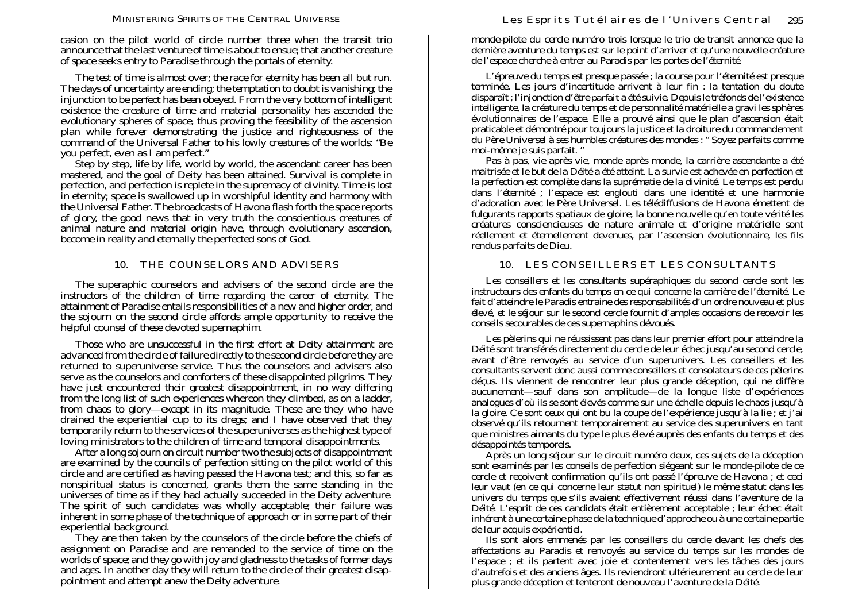casion on the pilot world of circle number three when the transit trio announce that the last venture of time is about to ensue; that another creature of space seeks entry to Paradise through the portals of eternity.

The test of time is almost over; the race for eternity has been all but run. The days of uncertainty are ending; the temptation to doubt is vanishing; the injunction to be *perfect* has been obeyed. From the very bottom of intelligent existence the creature of time and material personality has ascended the evolutionary spheres of space, thus proving the feasibility of the ascension plan while forever demonstrating the justice and righteousness of the command of the Universal Father to his lowly creatures of the worlds: "Be you perfect, even as I am perfect."

Step by step, life by life, world by world, the ascendant career has been mastered, and the goal of Deity has been attained. Survival is complete in perfection, and perfection is replete in the supremacy of divinity. Time is lost in eternity; space is swallowed up in worshipful identity and harmony with the Universal Father. The broadcasts of Havona flash forth the space reports of glory, the good news that in very truth the conscientious creatures of animal nature and material origin have, through evolutionary ascension, become in reality and eternally the perfected sons of God.

#### 10. THE COUNSELORS AND ADVISERS

The superaphic counselors and advisers of the second circle are the instructors of the children of time regarding the career of eternity. The attainment of Paradise entails responsibilities of a new and higher order, and the sojourn on the second circle affords ample opportunity to receive the helpful counsel of these devoted supernaphim.

Those who are unsuccessful in the first effort at Deity attainment are advanced from the circle of failure directly to the second circle before they are returned to superuniverse service. Thus the counselors and advisers also serve as the counselors and comforters of these disappointed pilgrims. They have just encountered their greatest disappointment, in no way differing from the long list of such experiences whereon they climbed, as on a ladder, from chaos to glory—except in its magnitude. These are they who have drained the experiential cup to its dregs; and I have observed that they temporarily return to the services of the superuniverses as the highest type of loving ministrators to the children of time and temporal disappointments.

After a long sojourn on circuit number two the subjects of disappointment are examined by the councils of perfection sitting on the pilot world of this circle and are certified as having passed the Havona test; and this, so far as nonspiritual status is concerned, grants them the same standing in the universes of time as if they had actually succeeded in the Deity adventure. The spirit of such candidates was wholly acceptable; their failure was inherent in some phase of the technique of approach or in some part of their experiential background.

They are then taken by the counselors of the circle before the chiefs of assignment on Paradise and are remanded to the service of time on the worlds of space; and they go with joy and gladness to the tasks of former days and ages. In another day they will return to the circle of their greatest disappointment and attempt anew the Deity adventure.

monde-pilote du cercle numéro trois lorsque le trio de transit annonce que la dernière aventure du temps est sur le point d'arriver et qu'une nouvelle créature de l'espace cherche à entrer au Paradis par les portes de l'éternité.

L'épreuve du temps est presque passée ; la course pour l'éternité est presque terminée. Les jours d'incertitude arrivent à leur fin : la tentation du doute disparaît ; l'injonction d'être *parfait* a été suivie. Depuis le tréfonds de l'existence intelligente, la créature du temps et de personnalité matérielle a gravi les sphères évolutionnaires de l'espace. Elle a prouvé ainsi que le plan d'ascension était praticable et démontré pour toujours la justice et la droiture du commandement du Père Universel à ses humbles créatures des mondes : " Soyez parfaits comme moi-même je suis parfait. "

Pas à pas, vie après vie, monde après monde, la carrière ascendante a été maitrisée et le but de la Déité a été atteint. La survie est achevée en perfection et la perfection est complète dans la suprématie de la divinité. Le temps est perdu dans l'éternité ; l'espace est englouti dans une identité et une harmonie d'adoration avec le Père Universel. Les télédiffusions de Havona émettent de fulgurants rapports spatiaux de gloire, la bonne nouvelle qu'en toute vérité les créatures consciencieuses de nature animale et d'origine matérielle sont réellement et éternellement devenues, par l'ascension évolutionnaire, les fils rendus parfaits de Dieu.

#### 10. LES CONSEILLERS ET LES CONSULTANTS

Les conseillers et les consultants supéraphiques du second cercle sont les instructeurs des enfants du temps en ce qui concerne la carrière de l'éternité. Le fait d'atteindre le Paradis entraine des responsabilités d'un ordre nouveau et plus élevé, et le séjour sur le second cercle fournit d'amples occasions de recevoir les conseils secourables de ces supernaphins dévoués.

Les pèlerins qui ne réussissent pas dans leur premier effort pour atteindre la Déité sont transférés directement du cercle de leur échec jusqu'au second cercle, avant d'être renvoyés au service d'un superunivers. Les conseillers et les consultants servent donc aussi comme conseillers et consolateurs de ces pèlerins déçus. Ils viennent de rencontrer leur plus grande déception, qui ne diffère aucunement—sauf dans son amplitude—de la longue liste d'expériences analogues d'où ils se sont élevés comme sur une échelle depuis le chaos jusqu'à la gloire. Ce sont ceux qui ont bu la coupe de l'expérience jusqu'à la lie ; et j'ai observé qu'ils retournent temporairement au service des superunivers en tant que ministres aimants du type le plus élevé auprès des enfants du temps et des désappointés temporels.

Après un long séjour sur le circuit numéro deux, ces sujets de la déception sont examinés par les conseils de perfection siégeant sur le monde-pilote de ce cercle et reçoivent confirmation qu'ils ont passé l'épreuve de Havona ; et ceci leur vaut (en ce qui concerne leur statut non spirituel) le même statut dans les univers du temps que s'ils avaient effectivement réussi dans l'aventure de la Déité. L'esprit de ces candidats était entièrement acceptable ; leur échec était inhérent à une certaine phase de la technique d'approche ou à une certaine partie de leur acquis expérientiel.

Ils sont alors emmenés par les conseillers du cercle devant les chefs des affectations au Paradis et renvoyés au service du temps sur les mondes de l'espace ; et ils partent avec joie et contentement vers les tâches des jours d'autrefois et des anciens âges. Ils reviendront ultérieurement au cercle de leur plus grande déception et tenteront de nouveau l'aventure de la Déité.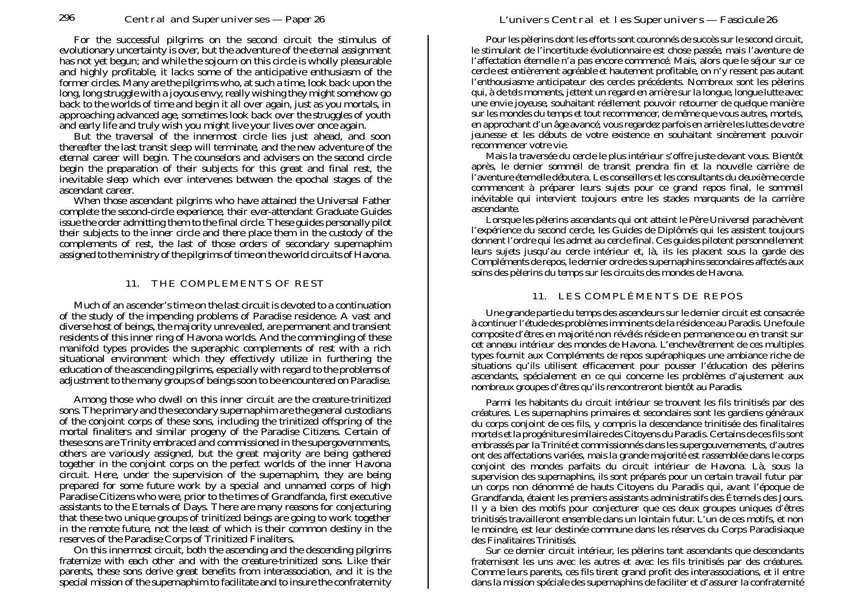For the successful pilgrims on the second circuit the stimulus of evolutionary uncertainty is over, but the adventure of the eternal assignment has not yet begun; and while the sojourn on this circle is wholly pleasurable and highly profitable, it lacks some of the anticipative enthusiasm of the former circles. Many are the pilgrims who, at such a time, look back upon the long, long struggle with a joyous envy, really wishing they might somehow go back to the worlds of time and begin it all over again, just as you mortals, in approaching advanced age, sometimes look back over the struggles of youth and early life and truly wish you might live your lives over once again.

But the traversal of the innermost circle lies just ahead, and soon thereafter the last transit sleep will terminate, and the new adventure of the eternal career will begin. The counselors and advisers on the second circle begin the preparation of their subjects for this great and final rest, the inevitable sleep which ever intervenes between the epochal stages of the ascendant career.

When those ascendant pilgrims who have attained the Universal Father complete the second-circle experience, their ever-attendant Graduate Guides issue the order admitting them to the final circle. These guides personally pilot their subjects to the inner circle and there place them in the custody of the complements of rest, the last of those orders of secondary supernaphim assigned to the ministry of the pilgrims of time on the world circuits of Havona.

#### 11. THE COMPLEMENTS OF REST

Much of an ascender's time on the last circuit is devoted to a continuation of the study of the impending problems of Paradise residence. A vast and diverse host of beings, the majority unrevealed, are permanent and transient residents of this inner ring of Havona worlds. And the commingling of these manifold types provides the superaphic complements of rest with a rich situational environment which they effectively utilize in furthering the education of the ascending pilgrims, especially with regard to the problems of adjustment to the many groups of beings soon to be encountered on Paradise.

Among those who dwell on this inner circuit are the creature-trinitized sons. The primary and the secondary supernaphim are the general custodians of the conjoint corps of these sons, including the trinitized offspring of the mortal finaliters and similar progeny of the Paradise Citizens. Certain of these sons are Trinity embraced and commissioned in the supergovernments, others are variously assigned, but the great majority are being gathered together in the conjoint corps on the perfect worlds of the inner Havona circuit. Here, under the supervision of the supernaphim, they are being prepared for some future work by a special and unnamed corps of high Paradise Citizens who were, prior to the times of Grandfanda, first executive assistants to the Eternals of Days. There are many reasons for conjecturing that these two unique groups of trinitized beings are going to work together in the remote future, not the least of which is their common destiny in the reserves of the Paradise Corps of Trinitized Finaliters.

On this innermost circuit, both the ascending and the descending pilgrims fraternize with each other and with the creature-trinitized sons. Like their parents, these sons derive great benefits from interassociation, and it is the special mission of the supernaphim to facilitate and to insure the confraternity

# <sup>296</sup> Central and Superuniverses — *Paper <sup>26</sup>* L'univers Central et les Superunivers — *Fascicule <sup>26</sup>*

Pour les pèlerins dont les efforts sont couronnés de succès sur le second circuit, le stimulant de l'incertitude évolutionnaire est chose passée, mais l'aventure de l'affectation éternelle n'a pas encore commencé. Mais, alors que le séjour sur ce cercle est entièrement agréable et hautement profitable, on n'y ressent pas autant l'enthousiasme anticipateur des cercles précédents. Nombreux sont les pèlerins qui, à de tels moments, jettent un regard en arrière sur la longue, longue lutte avec une envie joyeuse, souhaitant réellement pouvoir retourner de quelque manière sur les mondes du temps et tout recommencer, de même que vous autres, mortels, en approchant d'un âge avancé, vous regardez parfois en arrière les luttes de votre jeunesse et les débuts de votre existence en souhaitant sincèrement pouvoir recommencer votre vie.

Mais la traversée du cercle le plus intérieur s'offre juste devant vous. Bientôt après, le dernier sommeil de transit prendra fin et la nouvelle carrière de l'aventure éternelle débutera. Les conseillers et les consultants du deuxième cercle commencent à préparer leurs sujets pour ce grand repos final, le sommeil inévitable qui intervient toujours entre les stades marquants de la carrière ascendante.

Lorsque les pèlerins ascendants qui ont atteint le Père Universel parachèvent l'expérience du second cercle, les Guides de Diplômés qui les assistent toujours donnent l'ordre qui les admet au cercle final. Ces guides pilotent personnellement leurs sujets jusqu'au cercle intérieur et, là, ils les placent sous la garde des Compléments de repos, le dernier ordre des supernaphins secondaires affectés aux soins des pèlerins du temps sur les circuits des mondes de Havona.

## 11. LES COMPLÉMENTS DE REPOS

Une grande partie du temps des ascendeurs sur le dernier circuit est consacrée à continuer l'étude des problèmes imminents de la résidence au Paradis. Une foule composite d'êtres en majorité non révélés réside en permanence ou en transit sur cet anneau intérieur des mondes de Havona. L'enchevêtrement de ces multiples types fournit aux Compléments de repos supéraphiques une ambiance riche de situations qu'ils utilisent efficacement pour pousser l'éducation des pèlerins ascendants, spécialement en ce qui concerne les problèmes d'ajustement aux nombreux groupes d'êtres qu'ils rencontreront bientôt au Paradis.

Parmi les habitants du circuit intérieur se trouvent les fils trinitisés par des créatures. Les supernaphins primaires et secondaires sont les gardiens généraux du corps conjoint de ces fils, y compris la descendance trinitisée des finalitaires mortels et la progéniture similaire des Citoyens du Paradis. Certains de ces fils sont embrassés par la Trinité et commissionnés dans les supergouvernements, d'autres ont des affectations variées, mais la grande majorité est rassemblée dans le corps conjoint des mondes parfaits du circuit intérieur de Havona. Là, sous la supervision des supernaphins, ils sont préparés pour un certain travail futur par un corps non dénommé de hauts Citoyens du Paradis qui, avant l'époque de Grandfanda, étaient les premiers assistants administratifs des Éternels des Jours. Il y a bien des motifs pour conjecturer que ces deux groupes uniques d'êtres trinitisés travailleront ensemble dans un lointain futur. L'un de ces motifs, et non le moindre, est leur destinée commune dans les réserves du Corps Paradisiaque des Finalitaires Trinitisés.

Sur ce dernier circuit intérieur, les pèlerins tant ascendants que descendants fraternisent les uns avec les autres et avec les fils trinitisés par des créatures. Comme leurs parents, ces fils tirent grand profit des interassociations, et il entre dans la mission spéciale des supernaphins de faciliter et d'assurer la confraternité